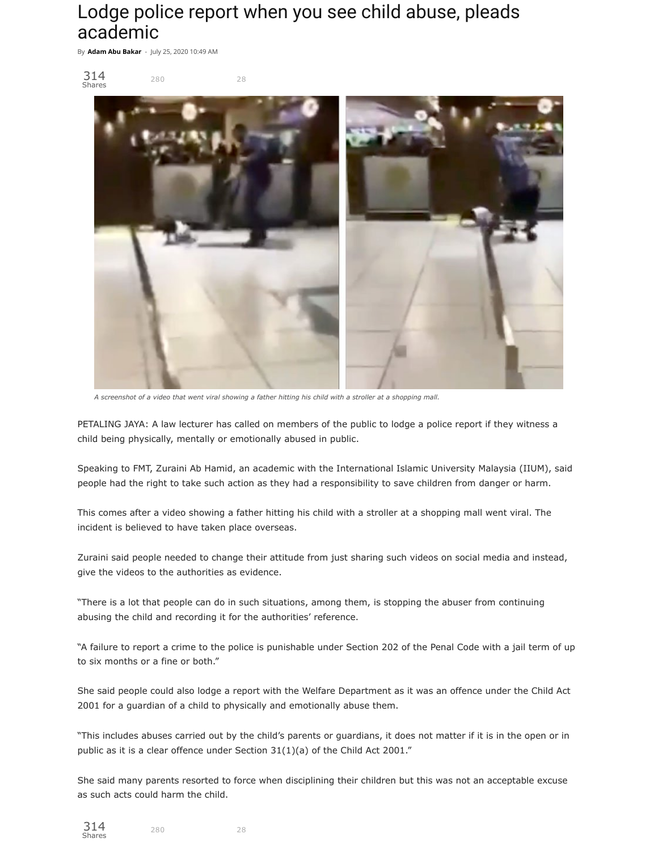## Lodge police report when you see child abuse, pleads academic

By **Adam Abu [Bakar](https://www.freemalaysiatoday.com/category/author/adamabubakar/)** - July 25, 2020 10:49 AM



*A screenshot of a video that went viral showing a father hitting his child with a stroller at a shopping mall.*

PETALING JAYA: A law lecturer has called on members of the public to lodge a police report if they witness a child being physically, mentally or emotionally abused in public.

Speaking to FMT, Zuraini Ab Hamid, an academic with the International Islamic University Malaysia (IIUM), said people had the right to take such action as they had a responsibility to save children from danger or harm.

This comes after a video showing a father hitting his child with a stroller at a shopping mall went viral. The incident is believed to have taken place overseas.

Zuraini said people needed to change their attitude from just sharing such videos on social media and instead, give the videos to the authorities as evidence.

"There is a lot that people can do in such situations, among them, is stopping the abuser from continuing abusing the child and recording it for the authorities' reference.

"A failure to report a crime to the police is punishable under Section 202 of the Penal Code with a jail term of up to six months or a fine or both."

She said people could also lodge a report with the Welfare Department as it was an offence under the Child Act 2001 for a guardian of a child to physically and emotionally abuse them.

"This includes abuses carried out by the child's parents or guardians, it does not matter if it is in the open or in public as it is a clear offence under Section 31(1)(a) of the Child Act 2001."

She said many parents resorted to force when disciplining their children but this was not an acceptable excuse as such acts could harm the child.